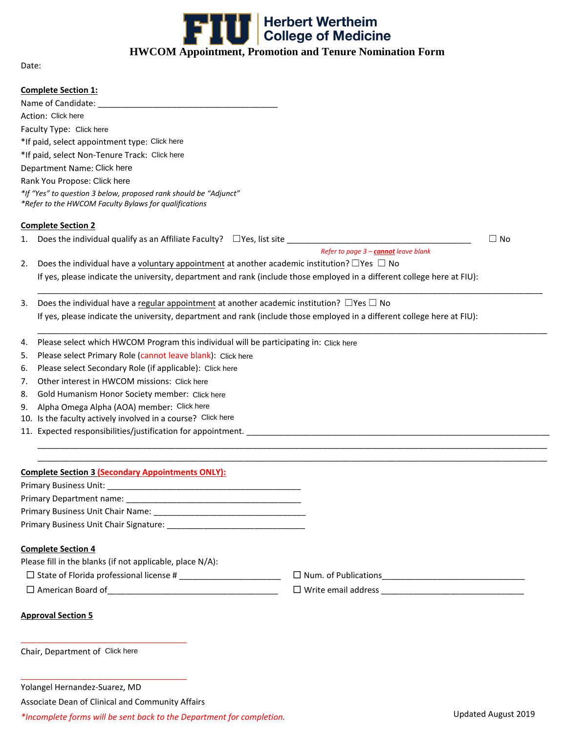

Date:

|                                               | <b>Complete Section 1:</b>                                                                                                |                                      |           |  |  |  |  |  |  |  |
|-----------------------------------------------|---------------------------------------------------------------------------------------------------------------------------|--------------------------------------|-----------|--|--|--|--|--|--|--|
|                                               |                                                                                                                           |                                      |           |  |  |  |  |  |  |  |
| Action: Click here                            |                                                                                                                           |                                      |           |  |  |  |  |  |  |  |
| Faculty Type: Click here                      |                                                                                                                           |                                      |           |  |  |  |  |  |  |  |
| *If paid, select appointment type: Click here |                                                                                                                           |                                      |           |  |  |  |  |  |  |  |
|                                               | *If paid, select Non-Tenure Track: Click here                                                                             |                                      |           |  |  |  |  |  |  |  |
|                                               | Department Name: Click here                                                                                               |                                      |           |  |  |  |  |  |  |  |
|                                               | Rank You Propose: Click here                                                                                              |                                      |           |  |  |  |  |  |  |  |
|                                               | *If "Yes" to question 3 below, proposed rank should be "Adjunct"<br>*Refer to the HWCOM Faculty Bylaws for qualifications |                                      |           |  |  |  |  |  |  |  |
|                                               | <b>Complete Section 2</b>                                                                                                 |                                      |           |  |  |  |  |  |  |  |
|                                               |                                                                                                                           |                                      | $\Box$ No |  |  |  |  |  |  |  |
|                                               |                                                                                                                           | Refer to page 3 - cannot leave blank |           |  |  |  |  |  |  |  |
| 2.                                            | Does the individual have a voluntary appointment at another academic institution? $\Box$ Yes $\Box$ No                    |                                      |           |  |  |  |  |  |  |  |
|                                               | If yes, please indicate the university, department and rank (include those employed in a different college here at FIU):  |                                      |           |  |  |  |  |  |  |  |
| 3.                                            | Does the individual have a regular appointment at another academic institution? $\Box$ Yes $\Box$ No                      |                                      |           |  |  |  |  |  |  |  |
|                                               | If yes, please indicate the university, department and rank (include those employed in a different college here at FIU):  |                                      |           |  |  |  |  |  |  |  |
| 4.                                            | Please select which HWCOM Program this individual will be participating in: Click here                                    |                                      |           |  |  |  |  |  |  |  |
| 5.                                            |                                                                                                                           |                                      |           |  |  |  |  |  |  |  |
| 6.                                            | Please select Primary Role (cannot leave blank): Click here                                                               |                                      |           |  |  |  |  |  |  |  |
| 7.                                            | Please select Secondary Role (if applicable): Click here                                                                  |                                      |           |  |  |  |  |  |  |  |
| 8.                                            | Other interest in HWCOM missions: Click here                                                                              |                                      |           |  |  |  |  |  |  |  |
| 9.                                            | Gold Humanism Honor Society member: Click here<br>Alpha Omega Alpha (AOA) member: Click here                              |                                      |           |  |  |  |  |  |  |  |
|                                               | 10. Is the faculty actively involved in a course? Click here                                                              |                                      |           |  |  |  |  |  |  |  |
|                                               |                                                                                                                           |                                      |           |  |  |  |  |  |  |  |
|                                               |                                                                                                                           |                                      |           |  |  |  |  |  |  |  |
|                                               | <b>Complete Section 3 (Secondary Appointments ONLY):</b>                                                                  |                                      |           |  |  |  |  |  |  |  |
|                                               | Primary Business Unit: ____________                                                                                       |                                      |           |  |  |  |  |  |  |  |
|                                               |                                                                                                                           |                                      |           |  |  |  |  |  |  |  |
|                                               |                                                                                                                           |                                      |           |  |  |  |  |  |  |  |
|                                               |                                                                                                                           |                                      |           |  |  |  |  |  |  |  |
|                                               | <b>Complete Section 4</b>                                                                                                 |                                      |           |  |  |  |  |  |  |  |
|                                               | Please fill in the blanks (if not applicable, place N/A):                                                                 |                                      |           |  |  |  |  |  |  |  |
|                                               |                                                                                                                           |                                      |           |  |  |  |  |  |  |  |
|                                               |                                                                                                                           |                                      |           |  |  |  |  |  |  |  |
|                                               | <b>Approval Section 5</b>                                                                                                 |                                      |           |  |  |  |  |  |  |  |
|                                               | Chair, Department of Click here                                                                                           |                                      |           |  |  |  |  |  |  |  |
|                                               |                                                                                                                           |                                      |           |  |  |  |  |  |  |  |
|                                               | Yolangel Hernandez-Suarez, MD                                                                                             |                                      |           |  |  |  |  |  |  |  |
|                                               | Associate Dean of Clinical and Community Affairs                                                                          |                                      |           |  |  |  |  |  |  |  |

*\*Incomplete forms will be sent back to the Department for completion.*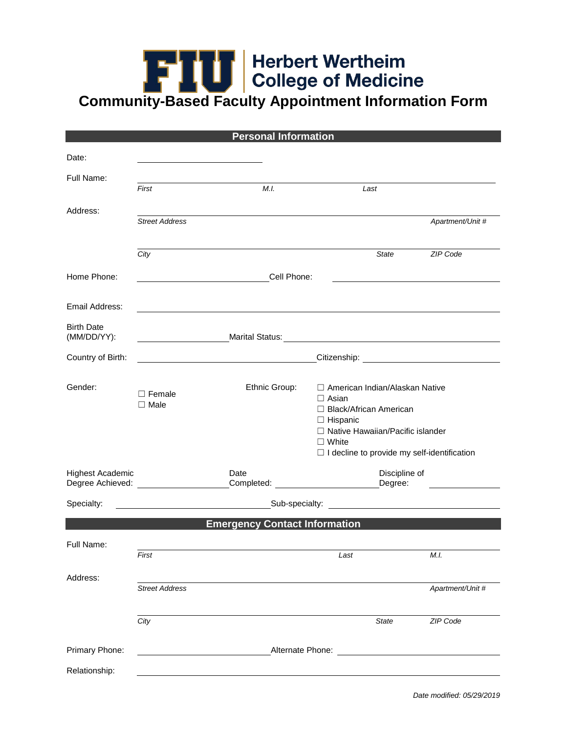## **College of Medicine<br>Community-Based Faculty Appointment Information Form**

|                                  |                                       | <b>Personal Information</b>                      |                                                                                                                                                                                                                                |                                                |
|----------------------------------|---------------------------------------|--------------------------------------------------|--------------------------------------------------------------------------------------------------------------------------------------------------------------------------------------------------------------------------------|------------------------------------------------|
| Date:                            |                                       |                                                  |                                                                                                                                                                                                                                |                                                |
| Full Name:                       | First                                 | M.I.                                             | Last                                                                                                                                                                                                                           |                                                |
| Address:                         | <b>Street Address</b>                 |                                                  |                                                                                                                                                                                                                                | Apartment/Unit #                               |
|                                  | City                                  |                                                  | State                                                                                                                                                                                                                          | ZIP Code                                       |
| Home Phone:                      |                                       | Cell Phone:                                      |                                                                                                                                                                                                                                |                                                |
| Email Address:                   |                                       |                                                  |                                                                                                                                                                                                                                |                                                |
| <b>Birth Date</b><br>(MM/DD/YY): |                                       |                                                  | Marital Status: Marital Status: Website and Contract and Contract of the Contract of the Contract of the Contract of the Contract of the Contract of the Contract of the Contract of the Contract of the Contract of the Contr |                                                |
| Country of Birth:                |                                       | <u> 1980 - Johann Barbara, martxa amerikan p</u> |                                                                                                                                                                                                                                |                                                |
| Gender:                          | $\Box$ Female<br>$\Box$ Male          | Ethnic Group:                                    | □ American Indian/Alaskan Native<br>$\Box$ Asian<br>□ Black/African American<br>$\Box$ Hispanic<br>□ Native Hawaiian/Pacific islander<br>$\Box$ White<br>$\Box$ I decline to provide my self-identification                    |                                                |
| <b>Highest Academic</b>          | Degree Achieved: ____________________ | Date<br>Completed: expression of the completed:  | Discipline of<br>Degree:                                                                                                                                                                                                       |                                                |
| Specialty:                       |                                       | Sub-specialty:                                   |                                                                                                                                                                                                                                | <u> 1989 - Jan Barnett, fransk politiker (</u> |
|                                  |                                       | <b>Emergency Contact Information</b>             |                                                                                                                                                                                                                                |                                                |
| Full Name:                       | First                                 |                                                  | Last                                                                                                                                                                                                                           | M.I.                                           |
| Address:                         | <b>Street Address</b>                 |                                                  |                                                                                                                                                                                                                                | Apartment/Unit #                               |
|                                  | City                                  |                                                  | <b>State</b>                                                                                                                                                                                                                   | ZIP Code                                       |
| Primary Phone:                   |                                       |                                                  | Alternate Phone:                                                                                                                                                                                                               |                                                |
| Relationship:                    |                                       |                                                  |                                                                                                                                                                                                                                |                                                |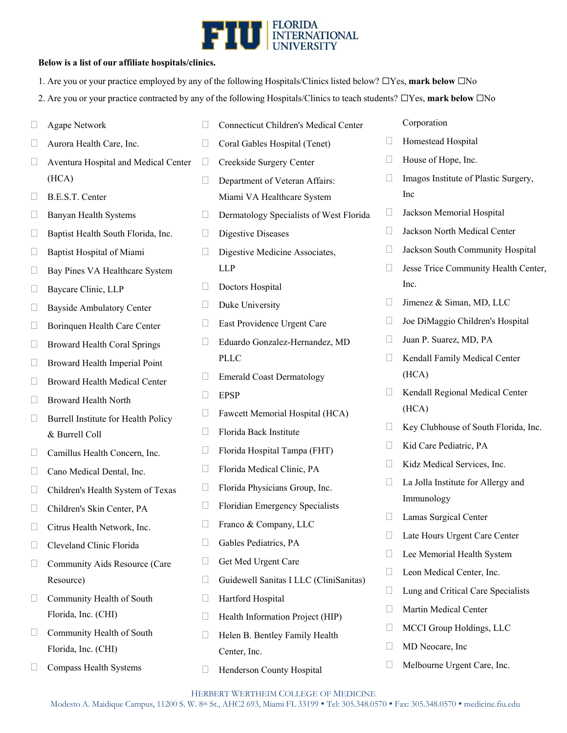

## **Below is a list of our affiliate hospitals/clinics.**

- 1. Are you or your practice employed by any of the following Hospitals/Clinics listed below? ☐Yes, **mark below** ☐No
- 2. Are you or your practice contracted by any of the following Hospitals/Clinics to teach students? ☐Yes, **mark below** ☐No

|        | Agape Network                        |              | <b>Connecticut Children's Medical Center</b> |        | Corporation                          |
|--------|--------------------------------------|--------------|----------------------------------------------|--------|--------------------------------------|
|        | Aurora Health Care, Inc.             | $\Box$       | Coral Gables Hospital (Tenet)                | $\Box$ | Homestead Hospital                   |
| Ш      | Aventura Hospital and Medical Center | $\Box$       | Creekside Surgery Center                     | u      | House of Hope, Inc.                  |
|        | (HCA)                                | $\Box$       | Department of Veteran Affairs:               |        | Imagos Institute of Plastic Surgery, |
|        | B.E.S.T. Center                      |              | Miami VA Healthcare System                   |        | Inc                                  |
| Ш      | Banyan Health Systems                | П            | Dermatology Specialists of West Florida      | Ш      | Jackson Memorial Hospital            |
| Ш      | Baptist Health South Florida, Inc.   | Ш            | <b>Digestive Diseases</b>                    | $\Box$ | Jackson North Medical Center         |
| $\Box$ | Baptist Hospital of Miami            | $\mathbf{L}$ | Digestive Medicine Associates,               | $\Box$ | Jackson South Community Hospital     |
| Ш      | Bay Pines VA Healthcare System       |              | <b>LLP</b>                                   | Ш      | Jesse Trice Community Health Center, |
| П      | Baycare Clinic, LLP                  | $\Box$       | Doctors Hospital                             |        | Inc.                                 |
| Ш      | <b>Bayside Ambulatory Center</b>     | П            | Duke University                              | $\Box$ | Jimenez & Siman, MD, LLC             |
| Ш      | Borinquen Health Care Center         | Ш            | East Providence Urgent Care                  |        | Joe DiMaggio Children's Hospital     |
| ⊔      | <b>Broward Health Coral Springs</b>  | $\Box$       | Eduardo Gonzalez-Hernandez, MD               | Ш      | Juan P. Suarez, MD, PA               |
| $\Box$ | Broward Health Imperial Point        |              | PLLC                                         | $\Box$ | Kendall Family Medical Center        |
| ⊔      | Broward Health Medical Center        |              | <b>Emerald Coast Dermatology</b>             |        | (HCA)                                |
|        | <b>Broward Health North</b>          | Ш            | <b>EPSP</b>                                  | Ш      | Kendall Regional Medical Center      |
| $\Box$ | Burrell Institute for Health Policy  | П            | Fawcett Memorial Hospital (HCA)              |        | (HCA)                                |
|        | & Burrell Coll                       | П            | Florida Back Institute                       | $\Box$ | Key Clubhouse of South Florida, Inc. |
| $\Box$ | Camillus Health Concern, Inc.        | Ш            | Florida Hospital Tampa (FHT)                 | Ш      | Kid Care Pediatric, PA               |
|        | Cano Medical Dental, Inc.            | $\Box$       | Florida Medical Clinic, PA                   |        | Kidz Medical Services, Inc.          |
| П      | Children's Health System of Texas    | Ш            | Florida Physicians Group, Inc.               |        | La Jolla Institute for Allergy and   |
|        | Children's Skin Center, PA           | Ш            | Floridian Emergency Specialists              |        | Immunology                           |
|        | Citrus Health Network, Inc.          | $\Box$       | Franco & Company, LLC                        |        | Lamas Surgical Center                |
| ⊔      | Cleveland Clinic Florida             |              | Gables Pediatrics, PA                        |        | Late Hours Urgent Care Center        |
|        | Community Aids Resource (Care        | Ш            | Get Med Urgent Care                          | Ш      | Lee Memorial Health System           |
|        | Resource)                            | $\Box$       | Guidewell Sanitas I LLC (CliniSanitas)       | Ш      | Leon Medical Center, Inc.            |
| $\Box$ | Community Health of South            | Ш            | Hartford Hospital                            | Ш      | Lung and Critical Care Specialists   |
|        | Florida, Inc. (CHI)                  | $\Box$       | Health Information Project (HIP)             | Ш      | Martin Medical Center                |
| $\Box$ | Community Health of South            | $\Box$       | Helen B. Bentley Family Health               | u      | MCCI Group Holdings, LLC             |
|        | Florida, Inc. (CHI)                  |              | Center, Inc.                                 | u      | MD Neocare, Inc                      |
| П      | Compass Health Systems               | $\Box$       | Henderson County Hospital                    | Ш      | Melbourne Urgent Care, Inc.          |
|        |                                      |              |                                              |        |                                      |

HERBERT WERTHEIM COLLEGE OF MEDICINE